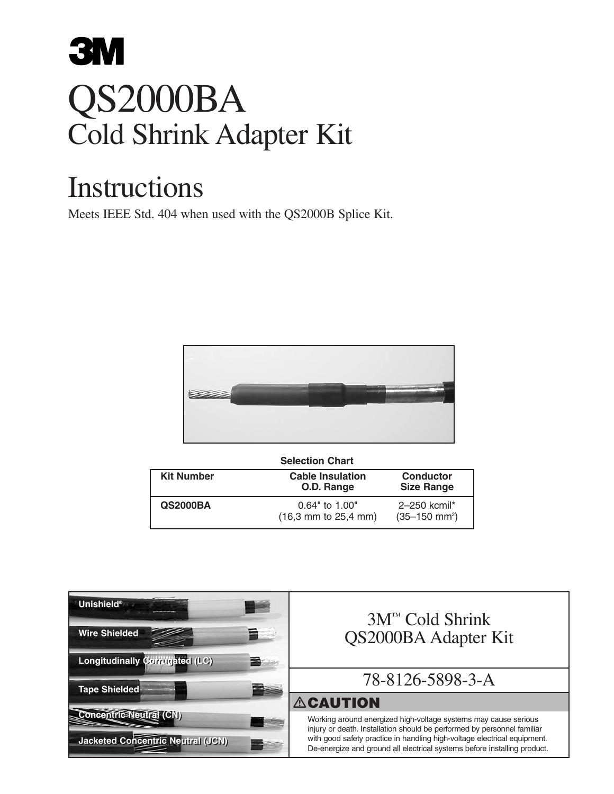# **3M** QS2000BA Cold Shrink Adapter Kit

## Instructions

Meets IEEE Std. 404 when used with the QS2000B Splice Kit.



| <b>Selection Chart</b> |  |
|------------------------|--|
|                        |  |

| <b>Kit Number</b> | <b>Cable Insulation</b><br>O.D. Range                                   | <b>Conductor</b><br><b>Size Range</b>   |
|-------------------|-------------------------------------------------------------------------|-----------------------------------------|
| <b>QS2000BA</b>   | $0.64"$ to 1.00"<br>$(16.3 \, \text{mm} \text{ to } 25.4 \, \text{mm})$ | 2-250 kcmil*<br>$(35-150 \text{ mm}^2)$ |

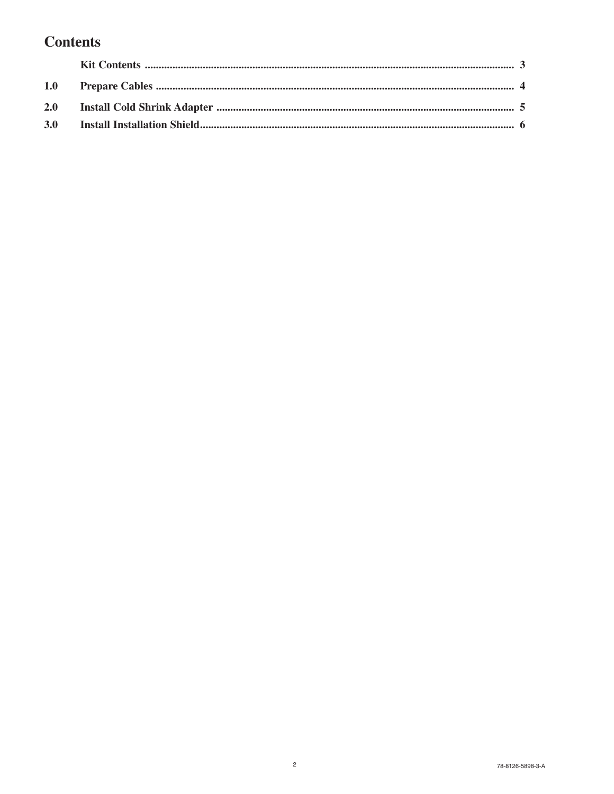#### **Contents**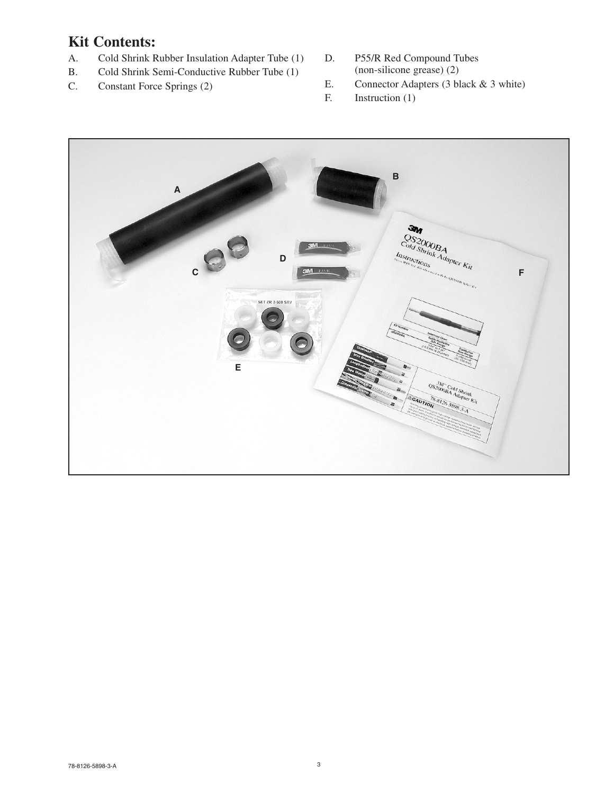### **Kit Contents:**

- A. Cold Shrink Rubber Insulation Adapter Tube (1)
- B. Cold Shrink Semi-Conductive Rubber Tube (1)
- C. Constant Force Springs (2)
- D. P55/R Red Compound Tubes (non-silicone grease) (2)
- E. Connector Adapters (3 black & 3 white)
- F. Instruction (1)

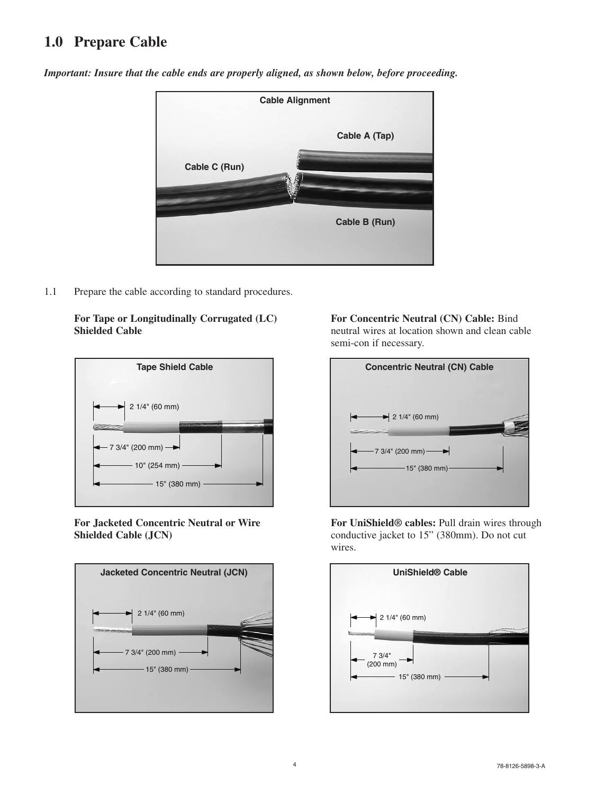#### **1.0 Prepare Cable**



*Important: Insure that the cable ends are properly aligned, as shown below, before proceeding.*

1.1 Prepare the cable according to standard procedures.

**For Tape or Longitudinally Corrugated (LC) Shielded Cable** 



**For Jacketed Concentric Neutral or Wire Shielded Cable (JCN)** 



**For Concentric Neutral (CN) Cable:** Bind neutral wires at location shown and clean cable semi-con if necessary.



**For UniShield® cables:** Pull drain wires through conductive jacket to 15" (380mm). Do not cut wires.

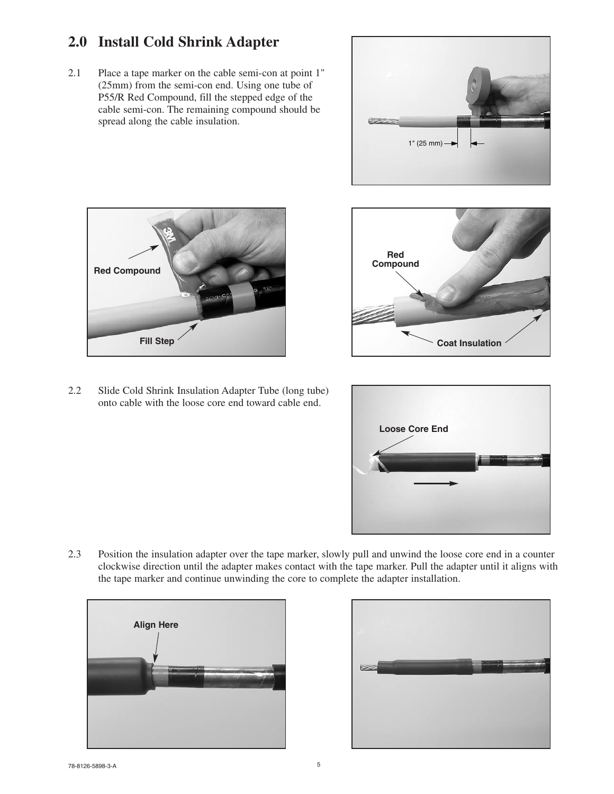#### **2.0 Install Cold Shrink Adapter**

2.1 Place a tape marker on the cable semi-con at point 1" (25mm) from the semi-con end. Using one tube of P55/R Red Compound, fill the stepped edge of the cable semi-con. The remaining compound should be spread along the cable insulation.







2.2 Slide Cold Shrink Insulation Adapter Tube (long tube) onto cable with the loose core end toward cable end.



2.3 Position the insulation adapter over the tape marker, slowly pull and unwind the loose core end in a counter clockwise direction until the adapter makes contact with the tape marker. Pull the adapter until it aligns with the tape marker and continue unwinding the core to complete the adapter installation.



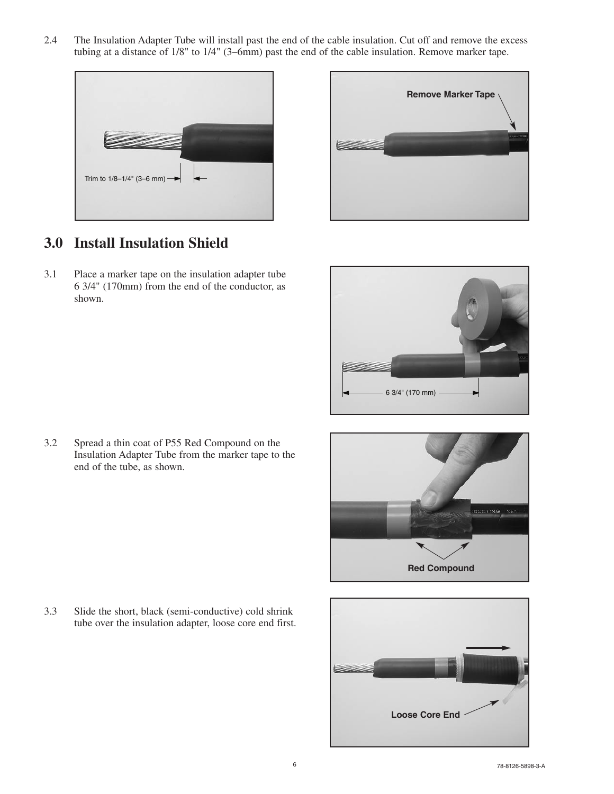2.4 The Insulation Adapter Tube will install past the end of the cable insulation. Cut off and remove the excess tubing at a distance of 1/8" to 1/4" (3–6mm) past the end of the cable insulation. Remove marker tape.





#### **3.0 Install Insulation Shield**

3.1 Place a marker tape on the insulation adapter tube 6 3/4" (170mm) from the end of the conductor, as shown.



3.2 Spread a thin coat of P55 Red Compound on the Insulation Adapter Tube from the marker tape to the end of the tube, as shown.



3.3 Slide the short, black (semi-conductive) cold shrink tube over the insulation adapter, loose core end first.

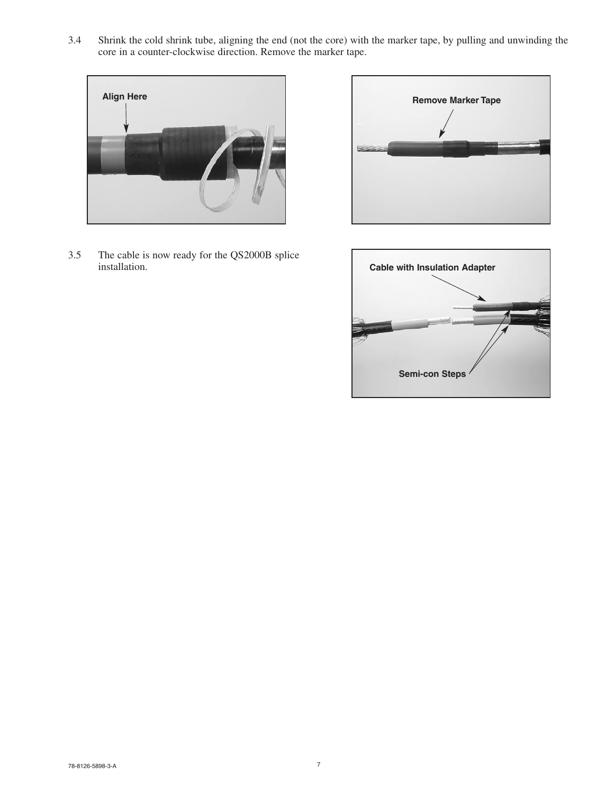3.4 Shrink the cold shrink tube, aligning the end (not the core) with the marker tape, by pulling and unwinding the core in a counter-clockwise direction. Remove the marker tape.



3.5 The cable is now ready for the QS2000B splice installation.